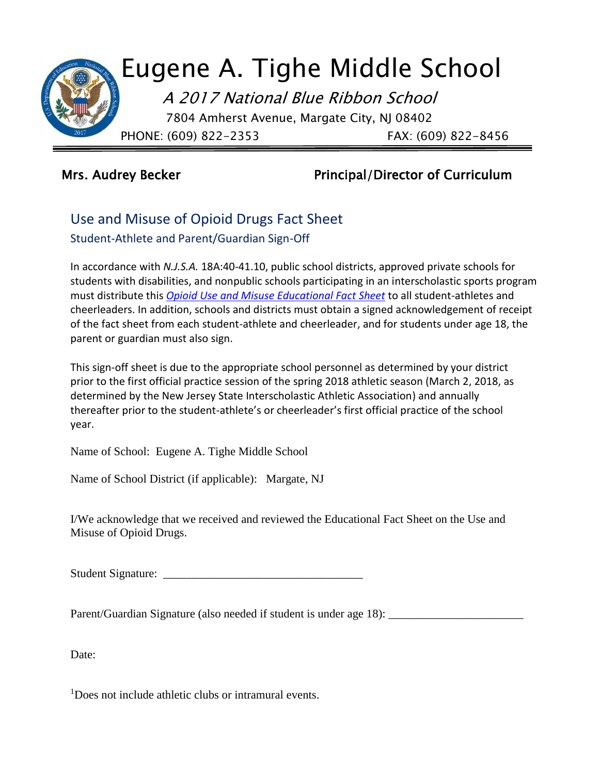

## Mrs. Audrey Becker **Principal/Director of Curriculum**

## Use and Misuse of Opioid Drugs Fact Sheet Student-Athlete and Parent/Guardian Sign-Off

In accordance with *N.J.S.A.* 18A:40-41.10, public school districts, approved private schools for students with disabilities, and nonpublic schools participating in an interscholastic sports program must distribute this *[Opioid Use and Misuse Educational Fact Sheet](http://www.nj.gov/education/students/safety/behavior/atd/opioid/FactSheet.pdf)* to all student-athletes and cheerleaders. In addition, schools and districts must obtain a signed acknowledgement of receipt of the fact sheet from each student-athlete and cheerleader, and for students under age 18, the parent or guardian must also sign.

This sign-off sheet is due to the appropriate school personnel as determined by your district prior to the first official practice session of the spring 2018 athletic season (March 2, 2018, as determined by the New Jersey State Interscholastic Athletic Association) and annually thereafter prior to the student-athlete's or cheerleader's first official practice of the school year.

Name of School: Eugene A. Tighe Middle School

Name of School District (if applicable): Margate, NJ

I/We acknowledge that we received and reviewed the Educational Fact Sheet on the Use and Misuse of Opioid Drugs.

Student Signature: \_\_\_\_\_\_\_\_\_\_\_\_\_\_\_\_\_\_\_\_\_\_\_\_\_\_\_\_\_\_\_\_\_\_

Parent/Guardian Signature (also needed if student is under age 18):

Date:

<sup>1</sup>Does not include athletic clubs or intramural events.